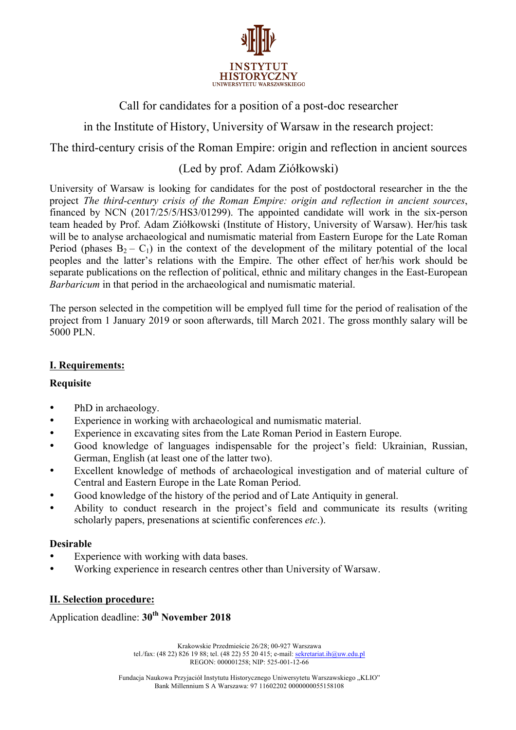

Call for candidates for a position of a post-doc researcher

in the Institute of History, University of Warsaw in the research project:

The third-century crisis of the Roman Empire: origin and reflection in ancient sources

# (Led by prof. Adam Ziółkowski)

University of Warsaw is looking for candidates for the post of postdoctoral researcher in the the project *The third-century crisis of the Roman Empire: origin and reflection in ancient sources*, financed by NCN (2017/25/5/HS3/01299). The appointed candidate will work in the six-person team headed by Prof. Adam Ziółkowski (Institute of History, University of Warsaw). Her/his task will be to analyse archaeological and numismatic material from Eastern Europe for the Late Roman Period (phases  $B_2 - C_1$ ) in the context of the development of the military potential of the local peoples and the latter's relations with the Empire. The other effect of her/his work should be separate publications on the reflection of political, ethnic and military changes in the East-European *Barbaricum* in that period in the archaeological and numismatic material.

The person selected in the competition will be emplyed full time for the period of realisation of the project from 1 January 2019 or soon afterwards, till March 2021. The gross monthly salary will be 5000 PLN.

# **I. Requirements:**

### **Requisite**

- PhD in archaeology.
- Experience in working with archaeological and numismatic material.
- Experience in excavating sites from the Late Roman Period in Eastern Europe.
- Good knowledge of languages indispensable for the project's field: Ukrainian, Russian, German, English (at least one of the latter two).
- Excellent knowledge of methods of archaeological investigation and of material culture of Central and Eastern Europe in the Late Roman Period.
- Good knowledge of the history of the period and of Late Antiquity in general.
- Ability to conduct research in the project's field and communicate its results (writing scholarly papers, presenations at scientific conferences *etc*.).

### **Desirable**

- Experience with working with data bases.
- Working experience in research centres other than University of Warsaw.

# **II. Selection procedure:**

Application deadline: **30th November 2018**

Krakowskie Przedmieście 26/28; 00-927 Warszawa tel./fax: (48 22) 826 19 88; tel. (48 22) 55 20 415; e-mail: sekretariat.ih@uw.edu.pl REGON: 000001258; NIP: 525-001-12-66